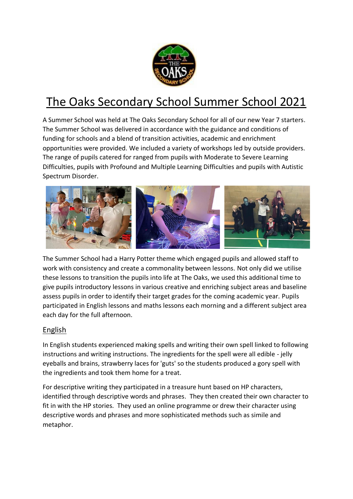

# The Oaks Secondary School Summer School 2021

A Summer School was held at The Oaks Secondary School for all of our new Year 7 starters. The Summer School was delivered in accordance with the guidance and conditions of funding for schools and a blend of transition activities, academic and enrichment opportunities were provided. We included a variety of workshops led by outside providers. The range of pupils catered for ranged from pupils with Moderate to Severe Learning Difficulties, pupils with Profound and Multiple Learning Difficulties and pupils with Autistic Spectrum Disorder.



The Summer School had a Harry Potter theme which engaged pupils and allowed staff to work with consistency and create a commonality between lessons. Not only did we utilise these lessons to transition the pupils into life at The Oaks, we used this additional time to give pupils introductory lessons in various creative and enriching subject areas and baseline assess pupils in order to identify their target grades for the coming academic year. Pupils participated in English lessons and maths lessons each morning and a different subject area each day for the full afternoon.

## English

In English students experienced making spells and writing their own spell linked to following instructions and writing instructions. The ingredients for the spell were all edible - jelly eyeballs and brains, strawberry laces for 'guts' so the students produced a gory spell with the ingredients and took them home for a treat.

For descriptive writing they participated in a treasure hunt based on HP characters, identified through descriptive words and phrases. They then created their own character to fit in with the HP stories. They used an online programme or drew their character using descriptive words and phrases and more sophisticated methods such as simile and metaphor.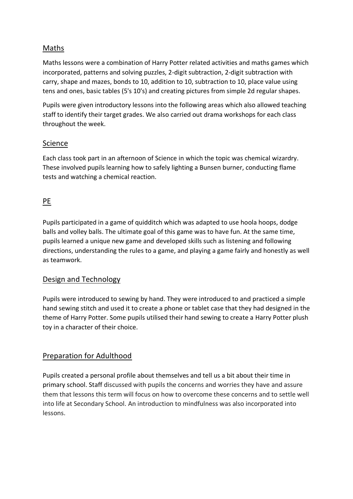#### Maths

Maths lessons were a combination of Harry Potter related activities and maths games which incorporated, patterns and solving puzzles, 2-digit subtraction, 2-digit subtraction with carry, shape and mazes, bonds to 10, addition to 10, subtraction to 10, place value using tens and ones, basic tables (5's 10's) and creating pictures from simple 2d regular shapes.

Pupils were given introductory lessons into the following areas which also allowed teaching staff to identify their target grades. We also carried out drama workshops for each class throughout the week.

#### Science

Each class took part in an afternoon of Science in which the topic was chemical wizardry. These involved pupils learning how to safely lighting a Bunsen burner, conducting flame tests and watching a chemical reaction.

## PE

Pupils participated in a game of quidditch which was adapted to use hoola hoops, dodge balls and volley balls. The ultimate goal of this game was to have fun. At the same time, pupils learned a unique new game and developed skills such as listening and following directions, understanding the rules to a game, and playing a game fairly and honestly as well as teamwork.

#### Design and Technology

Pupils were introduced to sewing by hand. They were introduced to and practiced a simple hand sewing stitch and used it to create a phone or tablet case that they had designed in the theme of Harry Potter. Some pupils utilised their hand sewing to create a Harry Potter plush toy in a character of their choice.

## Preparation for Adulthood

Pupils created a personal profile about themselves and tell us a bit about their time in primary school. Staff discussed with pupils the concerns and worries they have and assure them that lessons this term will focus on how to overcome these concerns and to settle well into life at Secondary School. An introduction to mindfulness was also incorporated into lessons.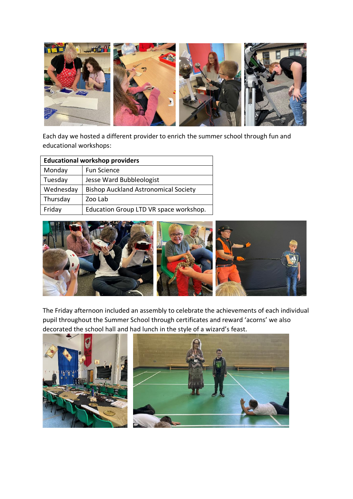

Each day we hosted a different provider to enrich the summer school through fun and educational workshops:

| <b>Educational workshop providers</b> |                                             |  |
|---------------------------------------|---------------------------------------------|--|
| Monday                                | <b>Fun Science</b>                          |  |
| Tuesday                               | Jesse Ward Bubbleologist                    |  |
| Wednesday                             | <b>Bishop Auckland Astronomical Society</b> |  |
| Thursday                              | Zoo Lab                                     |  |
| Friday                                | Education Group LTD VR space workshop.      |  |



The Friday afternoon included an assembly to celebrate the achievements of each individual pupil throughout the Summer School through certificates and reward 'acorns' we also decorated the school hall and had lunch in the style of a wizard's feast.